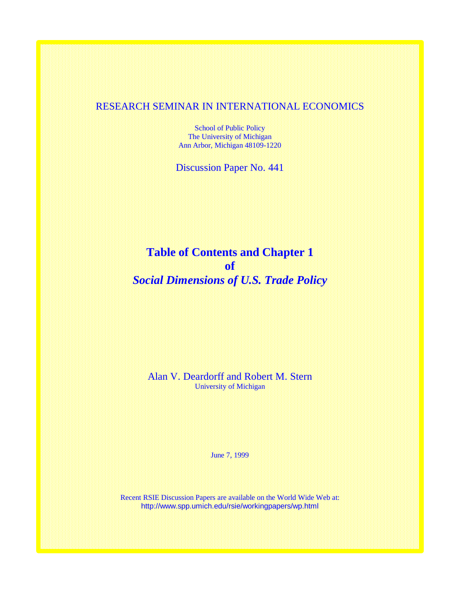## RESEARCH SEMINAR IN INTERNATIONAL ECONOMICS

School of Public Policy The University of Michigan Ann Arbor, Michigan 48109-1220

Discussion Paper No. 441

# **Table of Contents and Chapter 1 of** *Social Dimensions of U.S. Trade Policy*

Alan V. Deardorff and Robert M. Stern University of Michigan

June 7, 1999

Recent RSIE Discussion Papers are available on the World Wide Web at: http://www.spp.umich.edu/rsie/workingpapers/wp.html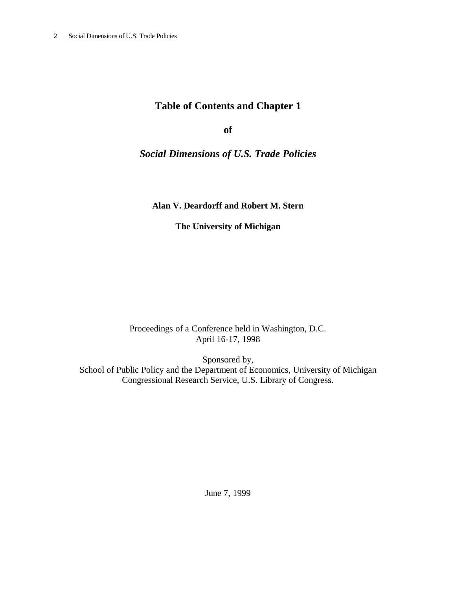### **Table of Contents and Chapter 1**

**of**

*Social Dimensions of U.S. Trade Policies*

**Alan V. Deardorff and Robert M. Stern**

**The University of Michigan**

Proceedings of a Conference held in Washington, D.C. April 16-17, 1998

Sponsored by, School of Public Policy and the Department of Economics, University of Michigan Congressional Research Service, U.S. Library of Congress.

June 7, 1999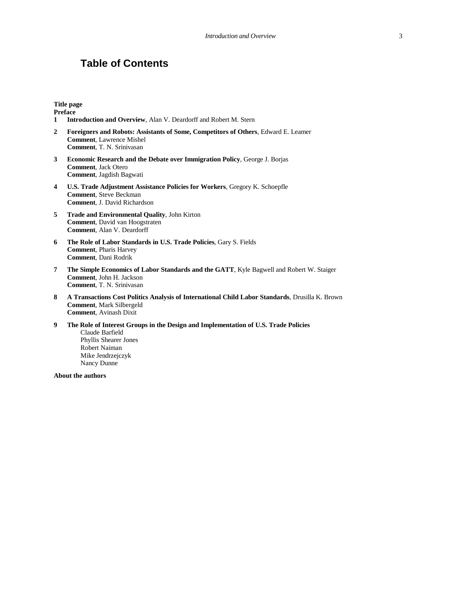### **Table of Contents**

**Title page Preface 1 Introduction and Overview**, Alan V. Deardorff and Robert M. Stern

- **2 Foreigners and Robots: Assistants of Some, Competitors of Others**, Edward E. Leamer **Comment**, Lawrence Mishel **Comment**, T. N. Srinivasan
- **3 Economic Research and the Debate over Immigration Policy**, George J. Borjas **Comment**, Jack Otero **Comment**, Jagdish Bagwati
- **4 U.S. Trade Adjustment Assistance Policies for Workers**, Gregory K. Schoepfle **Comment**, Steve Beckman **Comment**, J. David Richardson
- **5 Trade and Environmental Quality**, John Kirton **Comment**, David van Hoogstraten **Comment**, Alan V. Deardorff
- **6 The Role of Labor Standards in U.S. Trade Policies**, Gary S. Fields **Comment**, Pharis Harvey **Comment**, Dani Rodrik
- **7 The Simple Economics of Labor Standards and the GATT**, Kyle Bagwell and Robert W. Staiger **Comment**, John H. Jackson **Comment**, T. N. Srinivasan
- **8 A Transactions Cost Politics Analysis of International Child Labor Standards**, Drusilla K. Brown **Comment**, Mark Silbergeld **Comment**, Avinash Dixit
- **9 The Role of Interest Groups in the Design and Implementation of U.S. Trade Policies** Claude Barfield Phyllis Shearer Jones Robert Naiman Mike Jendrzejczyk Nancy Dunne

**About the authors**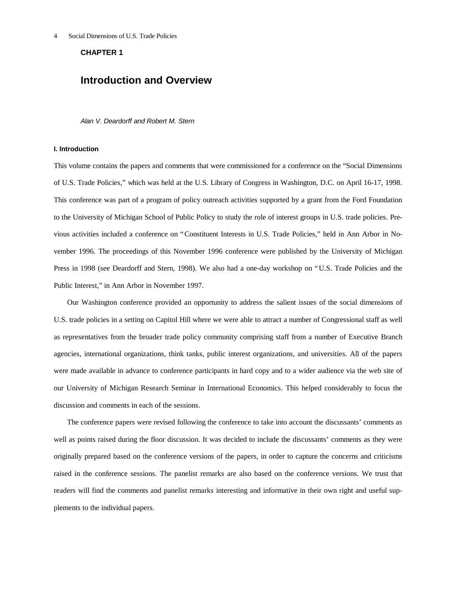### **CHAPTER 1**

### **Introduction and Overview**

*Alan V. Deardorff and Robert M. Stern*

#### **I. Introduction**

This volume contains the papers and comments that were commissioned for a conference on the "Social Dimensions of U.S. Trade Policies," which was held at the U.S. Library of Congress in Washington, D.C. on April 16-17, 1998. This conference was part of a program of policy outreach activities supported by a grant from the Ford Foundation to the University of Michigan School of Public Policy to study the role of interest groups in U.S. trade policies. Previous activities included a conference on "Constituent Interests in U.S. Trade Policies," held in Ann Arbor in November 1996. The proceedings of this November 1996 conference were published by the University of Michigan Press in 1998 (see Deardorff and Stern, 1998). We also had a one-day workshop on "U.S. Trade Policies and the Public Interest," in Ann Arbor in November 1997.

Our Washington conference provided an opportunity to address the salient issues of the social dimensions of U.S. trade policies in a setting on Capitol Hill where we were able to attract a number of Congressional staff as well as representatives from the broader trade policy community comprising staff from a number of Executive Branch agencies, international organizations, think tanks, public interest organizations, and universities. All of the papers were made available in advance to conference participants in hard copy and to a wider audience via the web site of our University of Michigan Research Seminar in International Economics. This helped considerably to focus the discussion and comments in each of the sessions.

The conference papers were revised following the conference to take into account the discussants' comments as well as points raised during the floor discussion. It was decided to include the discussants' comments as they were originally prepared based on the conference versions of the papers, in order to capture the concerns and criticisms raised in the conference sessions. The panelist remarks are also based on the conference versions. We trust that readers will find the comments and panelist remarks interesting and informative in their own right and useful supplements to the individual papers.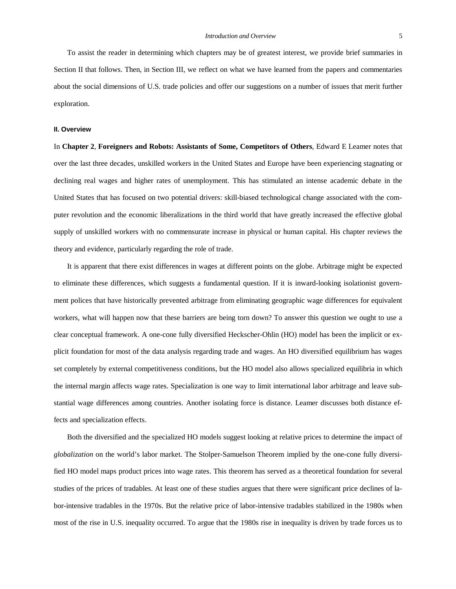To assist the reader in determining which chapters may be of greatest interest, we provide brief summaries in Section II that follows. Then, in Section III, we reflect on what we have learned from the papers and commentaries about the social dimensions of U.S. trade policies and offer our suggestions on a number of issues that merit further exploration.

#### **II. Overview**

In **Chapter 2**, **Foreigners and Robots: Assistants of Some, Competitors of Others**, Edward E Leamer notes that over the last three decades, unskilled workers in the United States and Europe have been experiencing stagnating or declining real wages and higher rates of unemployment. This has stimulated an intense academic debate in the United States that has focused on two potential drivers: skill-biased technological change associated with the computer revolution and the economic liberalizations in the third world that have greatly increased the effective global supply of unskilled workers with no commensurate increase in physical or human capital. His chapter reviews the theory and evidence, particularly regarding the role of trade.

It is apparent that there exist differences in wages at different points on the globe. Arbitrage might be expected to eliminate these differences, which suggests a fundamental question. If it is inward-looking isolationist government polices that have historically prevented arbitrage from eliminating geographic wage differences for equivalent workers, what will happen now that these barriers are being torn down? To answer this question we ought to use a clear conceptual framework. A one-cone fully diversified Heckscher-Ohlin (HO) model has been the implicit or explicit foundation for most of the data analysis regarding trade and wages. An HO diversified equilibrium has wages set completely by external competitiveness conditions, but the HO model also allows specialized equilibria in which the internal margin affects wage rates. Specialization is one way to limit international labor arbitrage and leave substantial wage differences among countries. Another isolating force is distance. Leamer discusses both distance effects and specialization effects.

Both the diversified and the specialized HO models suggest looking at relative prices to determine the impact of *globalization* on the world's labor market. The Stolper-Samuelson Theorem implied by the one-cone fully diversified HO model maps product prices into wage rates. This theorem has served as a theoretical foundation for several studies of the prices of tradables. At least one of these studies argues that there were significant price declines of labor-intensive tradables in the 1970s. But the relative price of labor-intensive tradables stabilized in the 1980s when most of the rise in U.S. inequality occurred. To argue that the 1980s rise in inequality is driven by trade forces us to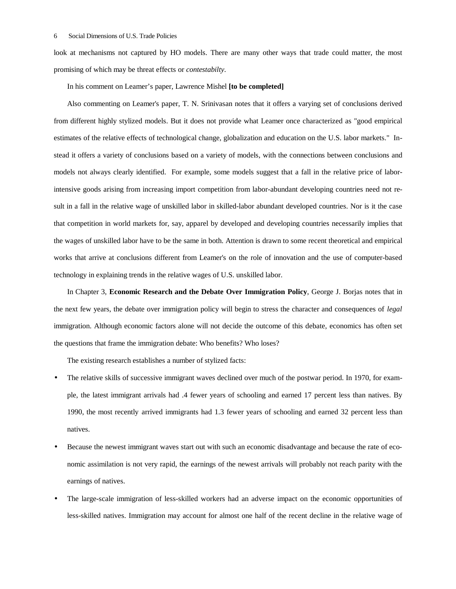look at mechanisms not captured by HO models. There are many other ways that trade could matter, the most promising of which may be threat effects or *contestabilty*.

In his comment on Leamer's paper, Lawrence Mishel **[to be completed]**

Also commenting on Leamer's paper, T. N. Srinivasan notes that it offers a varying set of conclusions derived from different highly stylized models. But it does not provide what Leamer once characterized as "good empirical estimates of the relative effects of technological change, globalization and education on the U.S. labor markets." Instead it offers a variety of conclusions based on a variety of models, with the connections between conclusions and models not always clearly identified. For example, some models suggest that a fall in the relative price of laborintensive goods arising from increasing import competition from labor-abundant developing countries need not result in a fall in the relative wage of unskilled labor in skilled-labor abundant developed countries. Nor is it the case that competition in world markets for, say, apparel by developed and developing countries necessarily implies that the wages of unskilled labor have to be the same in both. Attention is drawn to some recent theoretical and empirical works that arrive at conclusions different from Leamer's on the role of innovation and the use of computer-based technology in explaining trends in the relative wages of U.S. unskilled labor.

In Chapter 3, **Economic Research and the Debate Over Immigration Policy**, George J. Borjas notes that in the next few years, the debate over immigration policy will begin to stress the character and consequences of *legal* immigration. Although economic factors alone will not decide the outcome of this debate, economics has often set the questions that frame the immigration debate: Who benefits? Who loses?

The existing research establishes a number of stylized facts:

- The relative skills of successive immigrant waves declined over much of the postwar period. In 1970, for example, the latest immigrant arrivals had .4 fewer years of schooling and earned 17 percent less than natives. By 1990, the most recently arrived immigrants had 1.3 fewer years of schooling and earned 32 percent less than natives.
- Because the newest immigrant waves start out with such an economic disadvantage and because the rate of economic assimilation is not very rapid, the earnings of the newest arrivals will probably not reach parity with the earnings of natives.
- The large-scale immigration of less-skilled workers had an adverse impact on the economic opportunities of less-skilled natives. Immigration may account for almost one half of the recent decline in the relative wage of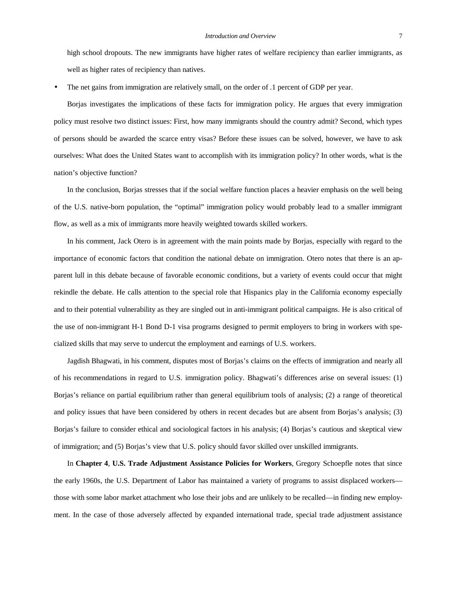high school dropouts. The new immigrants have higher rates of welfare recipiency than earlier immigrants, as well as higher rates of recipiency than natives.

The net gains from immigration are relatively small, on the order of .1 percent of GDP per year.

Borjas investigates the implications of these facts for immigration policy. He argues that every immigration policy must resolve two distinct issues: First, how many immigrants should the country admit? Second, which types of persons should be awarded the scarce entry visas? Before these issues can be solved, however, we have to ask ourselves: What does the United States want to accomplish with its immigration policy? In other words, what is the nation's objective function?

In the conclusion, Borjas stresses that if the social welfare function places a heavier emphasis on the well being of the U.S. native-born population, the "optimal" immigration policy would probably lead to a smaller immigrant flow, as well as a mix of immigrants more heavily weighted towards skilled workers.

In his comment, Jack Otero is in agreement with the main points made by Borjas, especially with regard to the importance of economic factors that condition the national debate on immigration. Otero notes that there is an apparent lull in this debate because of favorable economic conditions, but a variety of events could occur that might rekindle the debate. He calls attention to the special role that Hispanics play in the California economy especially and to their potential vulnerability as they are singled out in anti-immigrant political campaigns. He is also critical of the use of non-immigrant H-1 Bond D-1 visa programs designed to permit employers to bring in workers with specialized skills that may serve to undercut the employment and earnings of U.S. workers.

Jagdish Bhagwati, in his comment, disputes most of Borjas's claims on the effects of immigration and nearly all of his recommendations in regard to U.S. immigration policy. Bhagwati's differences arise on several issues: (1) Borjas's reliance on partial equilibrium rather than general equilibrium tools of analysis; (2) a range of theoretical and policy issues that have been considered by others in recent decades but are absent from Borjas's analysis; (3) Borjas's failure to consider ethical and sociological factors in his analysis; (4) Borjas's cautious and skeptical view of immigration; and (5) Borjas's view that U.S. policy should favor skilled over unskilled immigrants.

In **Chapter 4**, **U.S. Trade Adjustment Assistance Policies for Workers**, Gregory Schoepfle notes that since the early 1960s, the U.S. Department of Labor has maintained a variety of programs to assist displaced workers those with some labor market attachment who lose their jobs and are unlikely to be recalled—in finding new employment. In the case of those adversely affected by expanded international trade, special trade adjustment assistance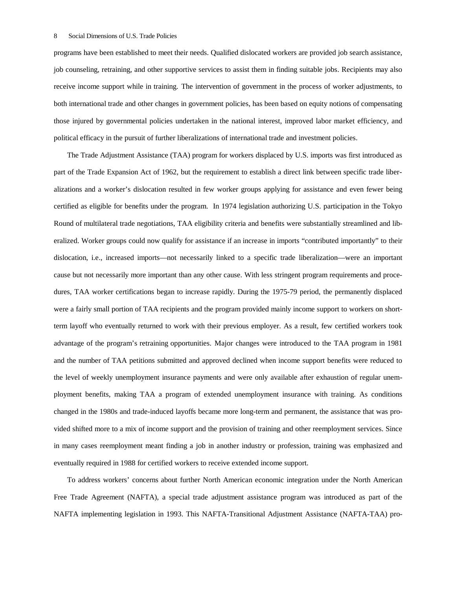programs have been established to meet their needs. Qualified dislocated workers are provided job search assistance, job counseling, retraining, and other supportive services to assist them in finding suitable jobs. Recipients may also receive income support while in training. The intervention of government in the process of worker adjustments, to both international trade and other changes in government policies, has been based on equity notions of compensating those injured by governmental policies undertaken in the national interest, improved labor market efficiency, and political efficacy in the pursuit of further liberalizations of international trade and investment policies.

The Trade Adjustment Assistance (TAA) program for workers displaced by U.S. imports was first introduced as part of the Trade Expansion Act of 1962, but the requirement to establish a direct link between specific trade liberalizations and a worker's dislocation resulted in few worker groups applying for assistance and even fewer being certified as eligible for benefits under the program. In 1974 legislation authorizing U.S. participation in the Tokyo Round of multilateral trade negotiations, TAA eligibility criteria and benefits were substantially streamlined and liberalized. Worker groups could now qualify for assistance if an increase in imports "contributed importantly" to their dislocation, i.e., increased imports— not necessarily linked to a specific trade liberalization— were an important cause but not necessarily more important than any other cause. With less stringent program requirements and procedures, TAA worker certifications began to increase rapidly. During the 1975-79 period, the permanently displaced were a fairly small portion of TAA recipients and the program provided mainly income support to workers on shortterm layoff who eventually returned to work with their previous employer. As a result, few certified workers took advantage of the program's retraining opportunities. Major changes were introduced to the TAA program in 1981 and the number of TAA petitions submitted and approved declined when income support benefits were reduced to the level of weekly unemployment insurance payments and were only available after exhaustion of regular unemployment benefits, making TAA a program of extended unemployment insurance with training. As conditions changed in the 1980s and trade-induced layoffs became more long-term and permanent, the assistance that was provided shifted more to a mix of income support and the provision of training and other reemployment services. Since in many cases reemployment meant finding a job in another industry or profession, training was emphasized and eventually required in 1988 for certified workers to receive extended income support.

To address workers' concerns about further North American economic integration under the North American Free Trade Agreement (NAFTA), a special trade adjustment assistance program was introduced as part of the NAFTA implementing legislation in 1993. This NAFTA-Transitional Adjustment Assistance (NAFTA-TAA) pro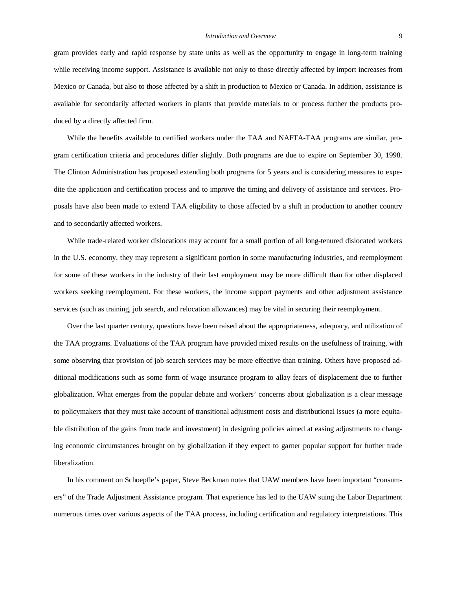gram provides early and rapid response by state units as well as the opportunity to engage in long-term training while receiving income support. Assistance is available not only to those directly affected by import increases from Mexico or Canada, but also to those affected by a shift in production to Mexico or Canada. In addition, assistance is available for secondarily affected workers in plants that provide materials to or process further the products produced by a directly affected firm.

While the benefits available to certified workers under the TAA and NAFTA-TAA programs are similar, program certification criteria and procedures differ slightly. Both programs are due to expire on September 30, 1998. The Clinton Administration has proposed extending both programs for 5 years and is considering measures to expedite the application and certification process and to improve the timing and delivery of assistance and services. Proposals have also been made to extend TAA eligibility to those affected by a shift in production to another country and to secondarily affected workers.

While trade-related worker dislocations may account for a small portion of all long-tenured dislocated workers in the U.S. economy, they may represent a significant portion in some manufacturing industries, and reemployment for some of these workers in the industry of their last employment may be more difficult than for other displaced workers seeking reemployment. For these workers, the income support payments and other adjustment assistance services (such as training, job search, and relocation allowances) may be vital in securing their reemployment.

Over the last quarter century, questions have been raised about the appropriateness, adequacy, and utilization of the TAA programs. Evaluations of the TAA program have provided mixed results on the usefulness of training, with some observing that provision of job search services may be more effective than training. Others have proposed additional modifications such as some form of wage insurance program to allay fears of displacement due to further globalization. What emerges from the popular debate and workers' concerns about globalization is a clear message to policymakers that they must take account of transitional adjustment costs and distributional issues (a more equitable distribution of the gains from trade and investment) in designing policies aimed at easing adjustments to changing economic circumstances brought on by globalization if they expect to garner popular support for further trade liberalization.

In his comment on Schoepfle's paper, Steve Beckman notes that UAW members have been important "consumers" of the Trade Adjustment Assistance program. That experience has led to the UAW suing the Labor Department numerous times over various aspects of the TAA process, including certification and regulatory interpretations. This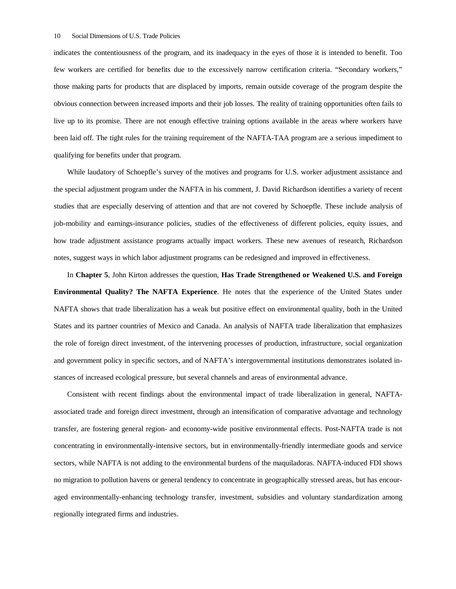indicates the contentiousness of the program, and its inadequacy in the eyes of those it is intended to benefit. Too few workers are certified for benefits due to the excessively narrow certification criteria. "Secondary workers," those making parts for products that are displaced by imports, remain outside coverage of the program despite the obvious connection between increased imports and their job losses. The reality of training opportunities often fails to live up to its promise. There are not enough effective training options available in the areas where workers have been laid off. The tight rules for the training requirement of the NAFTA-TAA program are a serious impediment to qualifying for benefits under that program.

While laudatory of Schoepfle's survey of the motives and programs for U.S. worker adjustment assistance and the special adjustment program under the NAFTA in his comment, J. David Richardson identifies a variety of recent studies that are especially deserving of attention and that are not covered by Schoepfle. These include analysis of job-mobility and earnings-insurance policies, studies of the effectiveness of different policies, equity issues, and how trade adjustment assistance programs actually impact workers. These new avenues of research, Richardson notes, suggest ways in which labor adjustment programs can be redesigned and improved in effectiveness.

In **Chapter 5**, John Kirton addresses the question, **Has Trade Strengthened or Weakened U.S. and Foreign Environmental Quality? The NAFTA Experience**. He notes that the experience of the United States under NAFTA shows that trade liberalization has a weak but positive effect on environmental quality, both in the United States and its partner countries of Mexico and Canada. An analysis of NAFTA trade liberalization that emphasizes the role of foreign direct investment, of the intervening processes of production, infrastructure, social organization and government policy in specific sectors, and of NAFTA's intergovernmental institutions demonstrates isolated instances of increased ecological pressure, but several channels and areas of environmental advance.

Consistent with recent findings about the environmental impact of trade liberalization in general, NAFTAassociated trade and foreign direct investment, through an intensification of comparative advantage and technology transfer, are fostering general region- and economy-wide positive environmental effects. Post-NAFTA trade is not concentrating in environmentally-intensive sectors, but in environmentally-friendly intermediate goods and service sectors, while NAFTA is not adding to the environmental burdens of the maquiladoras. NAFTA-induced FDI shows no migration to pollution havens or general tendency to concentrate in geographically stressed areas, but has encouraged environmentally-enhancing technology transfer, investment, subsidies and voluntary standardization among regionally integrated firms and industries.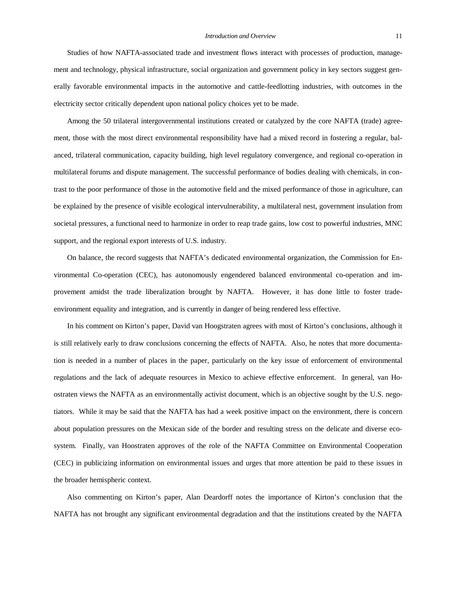Studies of how NAFTA-associated trade and investment flows interact with processes of production, management and technology, physical infrastructure, social organization and government policy in key sectors suggest generally favorable environmental impacts in the automotive and cattle-feedlotting industries, with outcomes in the electricity sector critically dependent upon national policy choices yet to be made.

Among the 50 trilateral intergovernmental institutions created or catalyzed by the core NAFTA (trade) agreement, those with the most direct environmental responsibility have had a mixed record in fostering a regular, balanced, trilateral communication, capacity building, high level regulatory convergence, and regional co-operation in multilateral forums and dispute management. The successful performance of bodies dealing with chemicals, in contrast to the poor performance of those in the automotive field and the mixed performance of those in agriculture, can be explained by the presence of visible ecological intervulnerability, a multilateral nest, government insulation from societal pressures, a functional need to harmonize in order to reap trade gains, low cost to powerful industries, MNC support, and the regional export interests of U.S. industry.

On balance, the record suggests that NAFTA's dedicated environmental organization, the Commission for Environmental Co-operation (CEC), has autonomously engendered balanced environmental co-operation and improvement amidst the trade liberalization brought by NAFTA. However, it has done little to foster tradeenvironment equality and integration, and is currently in danger of being rendered less effective.

In his comment on Kirton's paper, David van Hoogstraten agrees with most of Kirton's conclusions, although it is still relatively early to draw conclusions concerning the effects of NAFTA. Also, he notes that more documentation is needed in a number of places in the paper, particularly on the key issue of enforcement of environmental regulations and the lack of adequate resources in Mexico to achieve effective enforcement. In general, van Hoostraten views the NAFTA as an environmentally activist document, which is an objective sought by the U.S. negotiators. While it may be said that the NAFTA has had a week positive impact on the environment, there is concern about population pressures on the Mexican side of the border and resulting stress on the delicate and diverse ecosystem. Finally, van Hoostraten approves of the role of the NAFTA Committee on Environmental Cooperation (CEC) in publicizing information on environmental issues and urges that more attention be paid to these issues in the broader hemispheric context.

Also commenting on Kirton's paper, Alan Deardorff notes the importance of Kirton's conclusion that the NAFTA has not brought any significant environmental degradation and that the institutions created by the NAFTA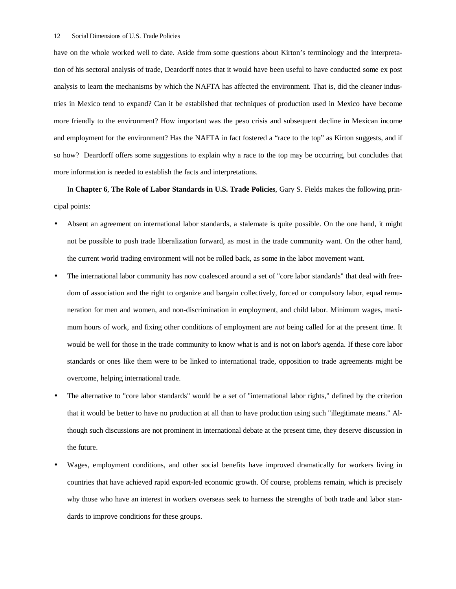have on the whole worked well to date. Aside from some questions about Kirton's terminology and the interpretation of his sectoral analysis of trade, Deardorff notes that it would have been useful to have conducted some ex post analysis to learn the mechanisms by which the NAFTA has affected the environment. That is, did the cleaner industries in Mexico tend to expand? Can it be established that techniques of production used in Mexico have become more friendly to the environment? How important was the peso crisis and subsequent decline in Mexican income and employment for the environment? Has the NAFTA in fact fostered a "race to the top" as Kirton suggests, and if so how? Deardorff offers some suggestions to explain why a race to the top may be occurring, but concludes that more information is needed to establish the facts and interpretations.

In **Chapter 6**, **The Role of Labor Standards in U.S. Trade Policies**, Gary S. Fields makes the following principal points:

- Absent an agreement on international labor standards, a stalemate is quite possible. On the one hand, it might not be possible to push trade liberalization forward, as most in the trade community want. On the other hand, the current world trading environment will not be rolled back, as some in the labor movement want.
- The international labor community has now coalesced around a set of "core labor standards" that deal with freedom of association and the right to organize and bargain collectively, forced or compulsory labor, equal remuneration for men and women, and non-discrimination in employment, and child labor. Minimum wages, maximum hours of work, and fixing other conditions of employment are *not* being called for at the present time. It would be well for those in the trade community to know what is and is not on labor's agenda. If these core labor standards or ones like them were to be linked to international trade, opposition to trade agreements might be overcome, helping international trade.
- The alternative to "core labor standards" would be a set of "international labor rights," defined by the criterion that it would be better to have no production at all than to have production using such "illegitimate means." Although such discussions are not prominent in international debate at the present time, they deserve discussion in the future.
- Wages, employment conditions, and other social benefits have improved dramatically for workers living in countries that have achieved rapid export-led economic growth. Of course, problems remain, which is precisely why those who have an interest in workers overseas seek to harness the strengths of both trade and labor standards to improve conditions for these groups.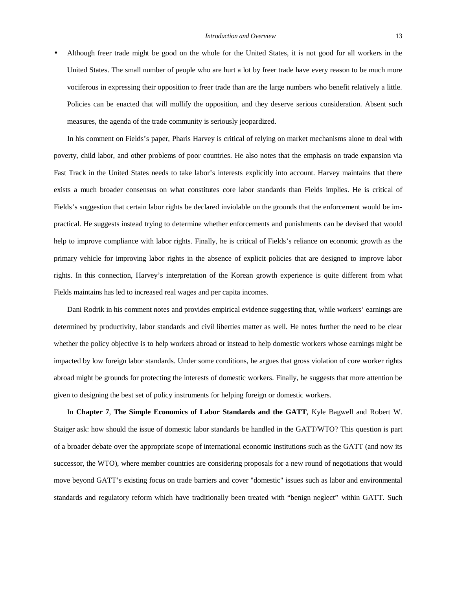• Although freer trade might be good on the whole for the United States, it is not good for all workers in the United States. The small number of people who are hurt a lot by freer trade have every reason to be much more vociferous in expressing their opposition to freer trade than are the large numbers who benefit relatively a little. Policies can be enacted that will mollify the opposition, and they deserve serious consideration. Absent such measures, the agenda of the trade community is seriously jeopardized.

In his comment on Fields's paper, Pharis Harvey is critical of relying on market mechanisms alone to deal with poverty, child labor, and other problems of poor countries. He also notes that the emphasis on trade expansion via Fast Track in the United States needs to take labor's interests explicitly into account. Harvey maintains that there exists a much broader consensus on what constitutes core labor standards than Fields implies. He is critical of Fields's suggestion that certain labor rights be declared inviolable on the grounds that the enforcement would be impractical. He suggests instead trying to determine whether enforcements and punishments can be devised that would help to improve compliance with labor rights. Finally, he is critical of Fields's reliance on economic growth as the primary vehicle for improving labor rights in the absence of explicit policies that are designed to improve labor rights. In this connection, Harvey's interpretation of the Korean growth experience is quite different from what Fields maintains has led to increased real wages and per capita incomes.

Dani Rodrik in his comment notes and provides empirical evidence suggesting that, while workers' earnings are determined by productivity, labor standards and civil liberties matter as well. He notes further the need to be clear whether the policy objective is to help workers abroad or instead to help domestic workers whose earnings might be impacted by low foreign labor standards. Under some conditions, he argues that gross violation of core worker rights abroad might be grounds for protecting the interests of domestic workers. Finally, he suggests that more attention be given to designing the best set of policy instruments for helping foreign or domestic workers.

In **Chapter 7**, **The Simple Economics of Labor Standards and the GATT**, Kyle Bagwell and Robert W. Staiger ask: how should the issue of domestic labor standards be handled in the GATT/WTO? This question is part of a broader debate over the appropriate scope of international economic institutions such as the GATT (and now its successor, the WTO), where member countries are considering proposals for a new round of negotiations that would move beyond GATT's existing focus on trade barriers and cover "domestic" issues such as labor and environmental standards and regulatory reform which have traditionally been treated with "benign neglect" within GATT. Such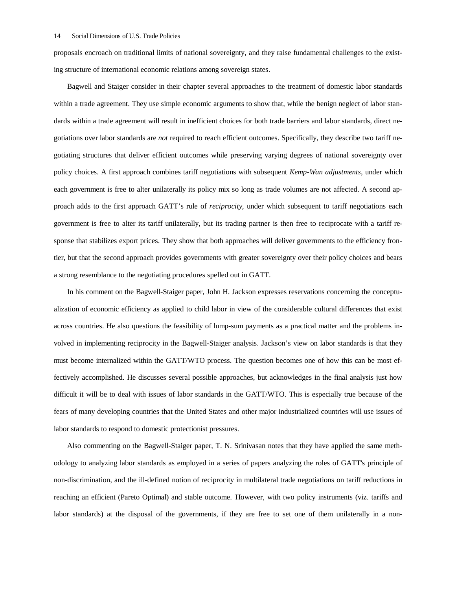proposals encroach on traditional limits of national sovereignty, and they raise fundamental challenges to the existing structure of international economic relations among sovereign states.

Bagwell and Staiger consider in their chapter several approaches to the treatment of domestic labor standards within a trade agreement. They use simple economic arguments to show that, while the benign neglect of labor standards within a trade agreement will result in inefficient choices for both trade barriers and labor standards, direct negotiations over labor standards are *not* required to reach efficient outcomes. Specifically, they describe two tariff negotiating structures that deliver efficient outcomes while preserving varying degrees of national sovereignty over policy choices. A first approach combines tariff negotiations with subsequent *Kemp-Wan adjustments*, under which each government is free to alter unilaterally its policy mix so long as trade volumes are not affected. A second approach adds to the first approach GATT's rule of *reciprocity*, under which subsequent to tariff negotiations each government is free to alter its tariff unilaterally, but its trading partner is then free to reciprocate with a tariff response that stabilizes export prices. They show that both approaches will deliver governments to the efficiency frontier, but that the second approach provides governments with greater sovereignty over their policy choices and bears a strong resemblance to the negotiating procedures spelled out in GATT.

In his comment on the Bagwell-Staiger paper, John H. Jackson expresses reservations concerning the conceptualization of economic efficiency as applied to child labor in view of the considerable cultural differences that exist across countries. He also questions the feasibility of lump-sum payments as a practical matter and the problems involved in implementing reciprocity in the Bagwell-Staiger analysis. Jackson's view on labor standards is that they must become internalized within the GATT/WTO process. The question becomes one of how this can be most effectively accomplished. He discusses several possible approaches, but acknowledges in the final analysis just how difficult it will be to deal with issues of labor standards in the GATT/WTO. This is especially true because of the fears of many developing countries that the United States and other major industrialized countries will use issues of labor standards to respond to domestic protectionist pressures.

Also commenting on the Bagwell-Staiger paper, T. N. Srinivasan notes that they have applied the same methodology to analyzing labor standards as employed in a series of papers analyzing the roles of GATT's principle of non-discrimination, and the ill-defined notion of reciprocity in multilateral trade negotiations on tariff reductions in reaching an efficient (Pareto Optimal) and stable outcome. However, with two policy instruments (viz. tariffs and labor standards) at the disposal of the governments, if they are free to set one of them unilaterally in a non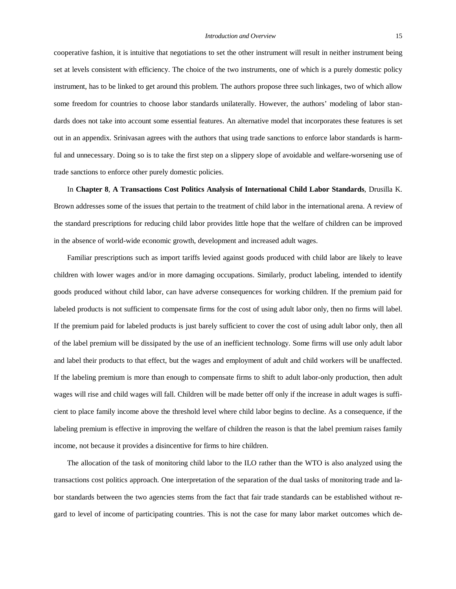cooperative fashion, it is intuitive that negotiations to set the other instrument will result in neither instrument being set at levels consistent with efficiency. The choice of the two instruments, one of which is a purely domestic policy instrument, has to be linked to get around this problem. The authors propose three such linkages, two of which allow some freedom for countries to choose labor standards unilaterally. However, the authors' modeling of labor standards does not take into account some essential features. An alternative model that incorporates these features is set out in an appendix. Srinivasan agrees with the authors that using trade sanctions to enforce labor standards is harmful and unnecessary. Doing so is to take the first step on a slippery slope of avoidable and welfare-worsening use of trade sanctions to enforce other purely domestic policies.

In **Chapter 8**, **A Transactions Cost Politics Analysis of International Child Labor Standards**, Drusilla K. Brown addresses some of the issues that pertain to the treatment of child labor in the international arena. A review of the standard prescriptions for reducing child labor provides little hope that the welfare of children can be improved in the absence of world-wide economic growth, development and increased adult wages.

Familiar prescriptions such as import tariffs levied against goods produced with child labor are likely to leave children with lower wages and/or in more damaging occupations. Similarly, product labeling, intended to identify goods produced without child labor, can have adverse consequences for working children. If the premium paid for labeled products is not sufficient to compensate firms for the cost of using adult labor only, then no firms will label. If the premium paid for labeled products is just barely sufficient to cover the cost of using adult labor only, then all of the label premium will be dissipated by the use of an inefficient technology. Some firms will use only adult labor and label their products to that effect, but the wages and employment of adult and child workers will be unaffected. If the labeling premium is more than enough to compensate firms to shift to adult labor-only production, then adult wages will rise and child wages will fall. Children will be made better off only if the increase in adult wages is sufficient to place family income above the threshold level where child labor begins to decline. As a consequence, if the labeling premium is effective in improving the welfare of children the reason is that the label premium raises family income, not because it provides a disincentive for firms to hire children.

The allocation of the task of monitoring child labor to the ILO rather than the WTO is also analyzed using the transactions cost politics approach. One interpretation of the separation of the dual tasks of monitoring trade and labor standards between the two agencies stems from the fact that fair trade standards can be established without regard to level of income of participating countries. This is not the case for many labor market outcomes which de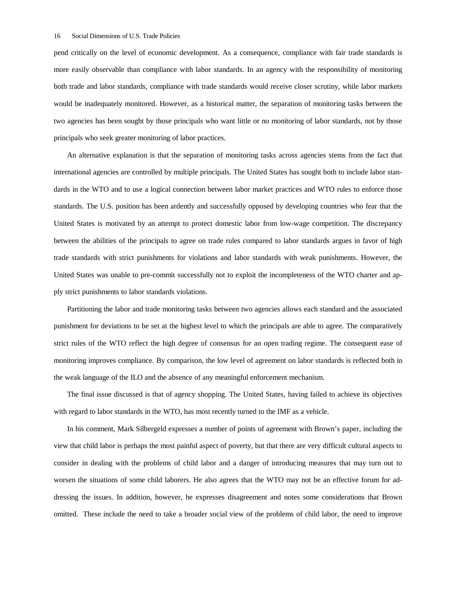pend critically on the level of economic development. As a consequence, compliance with fair trade standards is more easily observable than compliance with labor standards. In an agency with the responsibility of monitoring both trade and labor standards, compliance with trade standards would receive closer scrutiny, while labor markets would be inadequately monitored. However, as a historical matter, the separation of monitoring tasks between the two agencies has been sought by those principals who want little or no monitoring of labor standards, not by those principals who seek greater monitoring of labor practices.

An alternative explanation is that the separation of monitoring tasks across agencies stems from the fact that international agencies are controlled by multiple principals. The United States has sought both to include labor standards in the WTO and to use a logical connection between labor market practices and WTO rules to enforce those standards. The U.S. position has been ardently and successfully opposed by developing countries who fear that the United States is motivated by an attempt to protect domestic labor from low-wage competition. The discrepancy between the abilities of the principals to agree on trade rules compared to labor standards argues in favor of high trade standards with strict punishments for violations and labor standards with weak punishments. However, the United States was unable to pre-commit successfully not to exploit the incompleteness of the WTO charter and apply strict punishments to labor standards violations.

Partitioning the labor and trade monitoring tasks between two agencies allows each standard and the associated punishment for deviations to be set at the highest level to which the principals are able to agree. The comparatively strict rules of the WTO reflect the high degree of consensus for an open trading regime. The consequent ease of monitoring improves compliance. By comparison, the low level of agreement on labor standards is reflected both in the weak language of the ILO and the absence of any meaningful enforcement mechanism.

The final issue discussed is that of agency shopping. The United States, having failed to achieve its objectives with regard to labor standards in the WTO, has most recently turned to the IMF as a vehicle.

In his comment, Mark Silbergeld expresses a number of points of agreement with Brown's paper, including the view that child labor is perhaps the most painful aspect of poverty, but that there are very difficult cultural aspects to consider in dealing with the problems of child labor and a danger of introducing measures that may turn out to worsen the situations of some child laborers. He also agrees that the WTO may not be an effective forum for addressing the issues. In addition, however, he expresses disagreement and notes some considerations that Brown omitted. These include the need to take a broader social view of the problems of child labor, the need to improve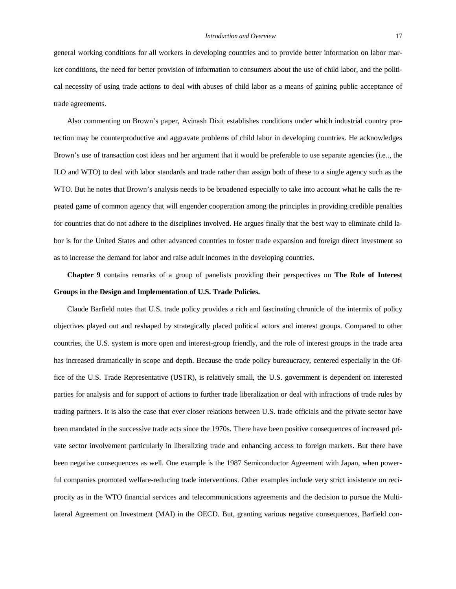general working conditions for all workers in developing countries and to provide better information on labor market conditions, the need for better provision of information to consumers about the use of child labor, and the political necessity of using trade actions to deal with abuses of child labor as a means of gaining public acceptance of trade agreements.

Also commenting on Brown's paper, Avinash Dixit establishes conditions under which industrial country protection may be counterproductive and aggravate problems of child labor in developing countries. He acknowledges Brown's use of transaction cost ideas and her argument that it would be preferable to use separate agencies (i.e.., the ILO and WTO) to deal with labor standards and trade rather than assign both of these to a single agency such as the WTO. But he notes that Brown's analysis needs to be broadened especially to take into account what he calls the repeated game of common agency that will engender cooperation among the principles in providing credible penalties for countries that do not adhere to the disciplines involved. He argues finally that the best way to eliminate child labor is for the United States and other advanced countries to foster trade expansion and foreign direct investment so as to increase the demand for labor and raise adult incomes in the developing countries.

**Chapter 9** contains remarks of a group of panelists providing their perspectives on **The Role of Interest Groups in the Design and Implementation of U.S. Trade Policies.**

Claude Barfield notes that U.S. trade policy provides a rich and fascinating chronicle of the intermix of policy objectives played out and reshaped by strategically placed political actors and interest groups. Compared to other countries, the U.S. system is more open and interest-group friendly, and the role of interest groups in the trade area has increased dramatically in scope and depth. Because the trade policy bureaucracy, centered especially in the Office of the U.S. Trade Representative (USTR), is relatively small, the U.S. government is dependent on interested parties for analysis and for support of actions to further trade liberalization or deal with infractions of trade rules by trading partners. It is also the case that ever closer relations between U.S. trade officials and the private sector have been mandated in the successive trade acts since the 1970s. There have been positive consequences of increased private sector involvement particularly in liberalizing trade and enhancing access to foreign markets. But there have been negative consequences as well. One example is the 1987 Semiconductor Agreement with Japan, when powerful companies promoted welfare-reducing trade interventions. Other examples include very strict insistence on reciprocity as in the WTO financial services and telecommunications agreements and the decision to pursue the Multilateral Agreement on Investment (MAI) in the OECD. But, granting various negative consequences, Barfield con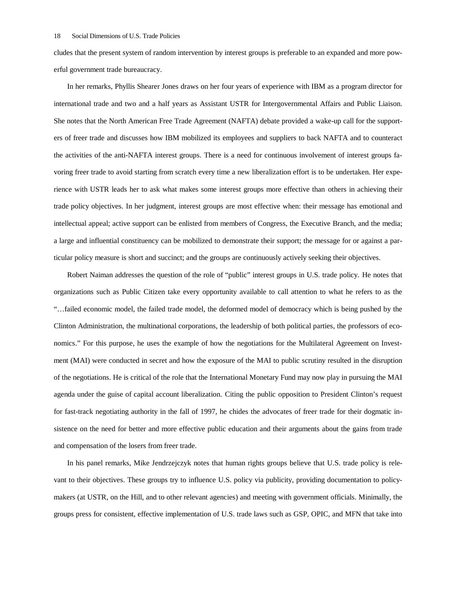cludes that the present system of random intervention by interest groups is preferable to an expanded and more powerful government trade bureaucracy.

In her remarks, Phyllis Shearer Jones draws on her four years of experience with IBM as a program director for international trade and two and a half years as Assistant USTR for Intergovernmental Affairs and Public Liaison. She notes that the North American Free Trade Agreement (NAFTA) debate provided a wake-up call for the supporters of freer trade and discusses how IBM mobilized its employees and suppliers to back NAFTA and to counteract the activities of the anti-NAFTA interest groups. There is a need for continuous involvement of interest groups favoring freer trade to avoid starting from scratch every time a new liberalization effort is to be undertaken. Her experience with USTR leads her to ask what makes some interest groups more effective than others in achieving their trade policy objectives. In her judgment, interest groups are most effective when: their message has emotional and intellectual appeal; active support can be enlisted from members of Congress, the Executive Branch, and the media; a large and influential constituency can be mobilized to demonstrate their support; the message for or against a particular policy measure is short and succinct; and the groups are continuously actively seeking their objectives.

Robert Naiman addresses the question of the role of "public" interest groups in U.S. trade policy. He notes that organizations such as Public Citizen take every opportunity available to call attention to what he refers to as the "… failed economic model, the failed trade model, the deformed model of democracy which is being pushed by the Clinton Administration, the multinational corporations, the leadership of both political parties, the professors of economics." For this purpose, he uses the example of how the negotiations for the Multilateral Agreement on Investment (MAI) were conducted in secret and how the exposure of the MAI to public scrutiny resulted in the disruption of the negotiations. He is critical of the role that the International Monetary Fund may now play in pursuing the MAI agenda under the guise of capital account liberalization. Citing the public opposition to President Clinton's request for fast-track negotiating authority in the fall of 1997, he chides the advocates of freer trade for their dogmatic insistence on the need for better and more effective public education and their arguments about the gains from trade and compensation of the losers from freer trade.

In his panel remarks, Mike Jendrzejczyk notes that human rights groups believe that U.S. trade policy is relevant to their objectives. These groups try to influence U.S. policy via publicity, providing documentation to policymakers (at USTR, on the Hill, and to other relevant agencies) and meeting with government officials. Minimally, the groups press for consistent, effective implementation of U.S. trade laws such as GSP, OPIC, and MFN that take into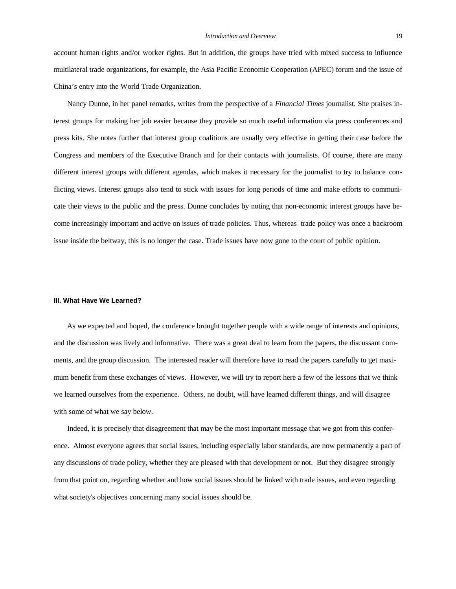account human rights and/or worker rights. But in addition, the groups have tried with mixed success to influence multilateral trade organizations, for example, the Asia Pacific Economic Cooperation (APEC) forum and the issue of China's entry into the World Trade Organization.

Nancy Dunne, in her panel remarks, writes from the perspective of a *Financial Times* journalist. She praises interest groups for making her job easier because they provide so much useful information via press conferences and press kits. She notes further that interest group coalitions are usually very effective in getting their case before the Congress and members of the Executive Branch and for their contacts with journalists. Of course, there are many different interest groups with different agendas, which makes it necessary for the journalist to try to balance conflicting views. Interest groups also tend to stick with issues for long periods of time and make efforts to communicate their views to the public and the press. Dunne concludes by noting that non-economic interest groups have become increasingly important and active on issues of trade policies. Thus, whereas trade policy was once a backroom issue inside the beltway, this is no longer the case. Trade issues have now gone to the court of public opinion.

#### **III. What Have We Learned?**

As we expected and hoped, the conference brought together people with a wide range of interests and opinions, and the discussion was lively and informative. There was a great deal to learn from the papers, the discussant comments, and the group discussion. The interested reader will therefore have to read the papers carefully to get maximum benefit from these exchanges of views. However, we will try to report here a few of the lessons that we think we learned ourselves from the experience. Others, no doubt, will have learned different things, and will disagree with some of what we say below.

Indeed, it is precisely that disagreement that may be the most important message that we got from this conference. Almost everyone agrees that social issues, including especially labor standards, are now permanently a part of any discussions of trade policy, whether they are pleased with that development or not. But they disagree strongly from that point on, regarding whether and how social issues should be linked with trade issues, and even regarding what society's objectives concerning many social issues should be.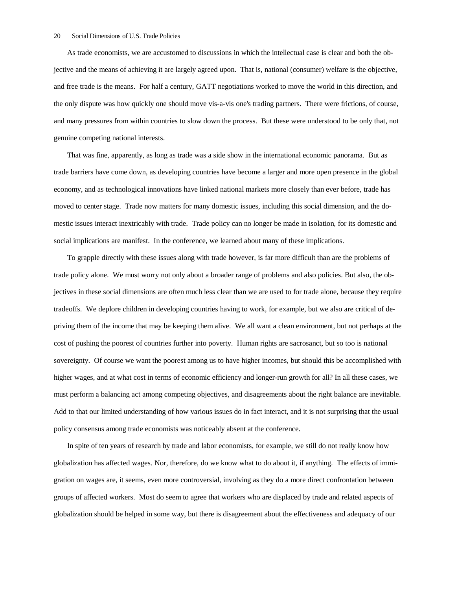#### 20 Social Dimensions of U.S. Trade Policies

As trade economists, we are accustomed to discussions in which the intellectual case is clear and both the objective and the means of achieving it are largely agreed upon. That is, national (consumer) welfare is the objective, and free trade is the means. For half a century, GATT negotiations worked to move the world in this direction, and the only dispute was how quickly one should move vis-a-vis one's trading partners. There were frictions, of course, and many pressures from within countries to slow down the process. But these were understood to be only that, not genuine competing national interests.

That was fine, apparently, as long as trade was a side show in the international economic panorama. But as trade barriers have come down, as developing countries have become a larger and more open presence in the global economy, and as technological innovations have linked national markets more closely than ever before, trade has moved to center stage. Trade now matters for many domestic issues, including this social dimension, and the domestic issues interact inextricably with trade. Trade policy can no longer be made in isolation, for its domestic and social implications are manifest. In the conference, we learned about many of these implications.

To grapple directly with these issues along with trade however, is far more difficult than are the problems of trade policy alone. We must worry not only about a broader range of problems and also policies. But also, the objectives in these social dimensions are often much less clear than we are used to for trade alone, because they require tradeoffs. We deplore children in developing countries having to work, for example, but we also are critical of depriving them of the income that may be keeping them alive. We all want a clean environment, but not perhaps at the cost of pushing the poorest of countries further into poverty. Human rights are sacrosanct, but so too is national sovereignty. Of course we want the poorest among us to have higher incomes, but should this be accomplished with higher wages, and at what cost in terms of economic efficiency and longer-run growth for all? In all these cases, we must perform a balancing act among competing objectives, and disagreements about the right balance are inevitable. Add to that our limited understanding of how various issues do in fact interact, and it is not surprising that the usual policy consensus among trade economists was noticeably absent at the conference.

In spite of ten years of research by trade and labor economists, for example, we still do not really know how globalization has affected wages. Nor, therefore, do we know what to do about it, if anything. The effects of immigration on wages are, it seems, even more controversial, involving as they do a more direct confrontation between groups of affected workers. Most do seem to agree that workers who are displaced by trade and related aspects of globalization should be helped in some way, but there is disagreement about the effectiveness and adequacy of our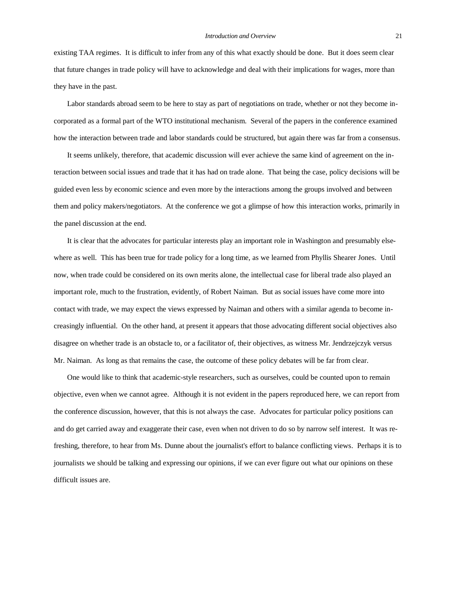existing TAA regimes. It is difficult to infer from any of this what exactly should be done. But it does seem clear that future changes in trade policy will have to acknowledge and deal with their implications for wages, more than they have in the past.

Labor standards abroad seem to be here to stay as part of negotiations on trade, whether or not they become incorporated as a formal part of the WTO institutional mechanism. Several of the papers in the conference examined how the interaction between trade and labor standards could be structured, but again there was far from a consensus.

It seems unlikely, therefore, that academic discussion will ever achieve the same kind of agreement on the interaction between social issues and trade that it has had on trade alone. That being the case, policy decisions will be guided even less by economic science and even more by the interactions among the groups involved and between them and policy makers/negotiators. At the conference we got a glimpse of how this interaction works, primarily in the panel discussion at the end.

It is clear that the advocates for particular interests play an important role in Washington and presumably elsewhere as well. This has been true for trade policy for a long time, as we learned from Phyllis Shearer Jones. Until now, when trade could be considered on its own merits alone, the intellectual case for liberal trade also played an important role, much to the frustration, evidently, of Robert Naiman. But as social issues have come more into contact with trade, we may expect the views expressed by Naiman and others with a similar agenda to become increasingly influential. On the other hand, at present it appears that those advocating different social objectives also disagree on whether trade is an obstacle to, or a facilitator of, their objectives, as witness Mr. Jendrzejczyk versus Mr. Naiman. As long as that remains the case, the outcome of these policy debates will be far from clear.

One would like to think that academic-style researchers, such as ourselves, could be counted upon to remain objective, even when we cannot agree. Although it is not evident in the papers reproduced here, we can report from the conference discussion, however, that this is not always the case. Advocates for particular policy positions can and do get carried away and exaggerate their case, even when not driven to do so by narrow self interest. It was refreshing, therefore, to hear from Ms. Dunne about the journalist's effort to balance conflicting views. Perhaps it is to journalists we should be talking and expressing our opinions, if we can ever figure out what our opinions on these difficult issues are.